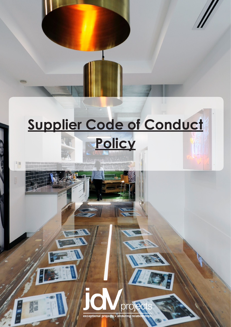## **Supplier Code of Conduct**

**Policy**

 $\frac{1}{2}$ 

**MORM** 



Orol

**ich**